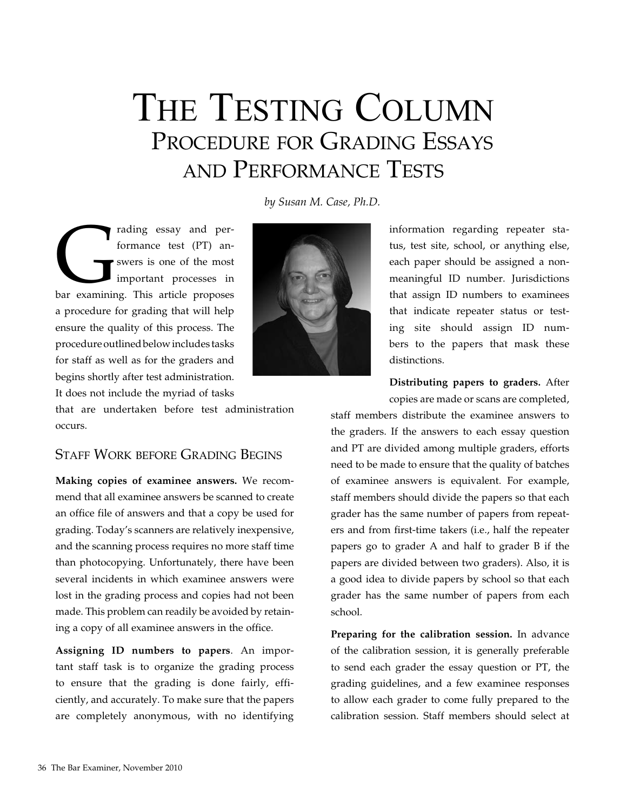# THE TESTING COLUMN Procedure for Grading Essays and Performance Tests

*by Susan M. Case, Ph.D.*

rading essay and per-<br>formance test (PT) an-<br>swers is one of the most<br>important processes in<br>bar examining. This article proposes formance test (PT) answers is one of the most important processes in a procedure for grading that will help ensure the quality of this process. The procedure outlined below includes tasks for staff as well as for the graders and begins shortly after test administration. It does not include the myriad of tasks

that are undertaken before test administration occurs.

#### Staff Work before Grading Begins

**Making copies of examinee answers.** We recommend that all examinee answers be scanned to create an office file of answers and that a copy be used for grading. Today's scanners are relatively inexpensive, and the scanning process requires no more staff time than photocopying. Unfortunately, there have been several incidents in which examinee answers were lost in the grading process and copies had not been made. This problem can readily be avoided by retaining a copy of all examinee answers in the office.

**Assigning ID numbers to papers**. An important staff task is to organize the grading process to ensure that the grading is done fairly, efficiently, and accurately. To make sure that the papers are completely anonymous, with no identifying



information regarding repeater status, test site, school, or anything else, each paper should be assigned a nonmeaningful ID number. Jurisdictions that assign ID numbers to examinees that indicate repeater status or testing site should assign ID numbers to the papers that mask these distinctions.

**Distributing papers to graders.** After copies are made or scans are completed,

staff members distribute the examinee answers to the graders. If the answers to each essay question and PT are divided among multiple graders, efforts need to be made to ensure that the quality of batches of examinee answers is equivalent. For example, staff members should divide the papers so that each grader has the same number of papers from repeaters and from first-time takers (i.e., half the repeater papers go to grader A and half to grader B if the papers are divided between two graders). Also, it is a good idea to divide papers by school so that each grader has the same number of papers from each school.

**Preparing for the calibration session.** In advance of the calibration session, it is generally preferable to send each grader the essay question or PT, the grading guidelines, and a few examinee responses to allow each grader to come fully prepared to the calibration session. Staff members should select at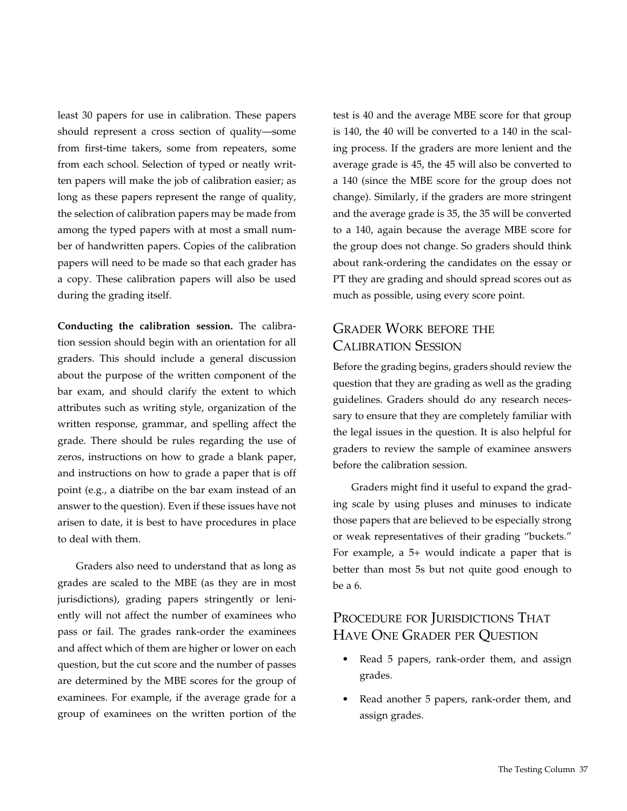least 30 papers for use in calibration. These papers should represent a cross section of quality—some from first-time takers, some from repeaters, some from each school. Selection of typed or neatly written papers will make the job of calibration easier; as long as these papers represent the range of quality, the selection of calibration papers may be made from among the typed papers with at most a small number of handwritten papers. Copies of the calibration papers will need to be made so that each grader has a copy. These calibration papers will also be used during the grading itself.

**Conducting the calibration session.** The calibration session should begin with an orientation for all graders. This should include a general discussion about the purpose of the written component of the bar exam, and should clarify the extent to which attributes such as writing style, organization of the written response, grammar, and spelling affect the grade. There should be rules regarding the use of zeros, instructions on how to grade a blank paper, and instructions on how to grade a paper that is off point (e.g., a diatribe on the bar exam instead of an answer to the question). Even if these issues have not arisen to date, it is best to have procedures in place to deal with them.

Graders also need to understand that as long as grades are scaled to the MBE (as they are in most jurisdictions), grading papers stringently or leniently will not affect the number of examinees who pass or fail. The grades rank-order the examinees and affect which of them are higher or lower on each question, but the cut score and the number of passes are determined by the MBE scores for the group of examinees. For example, if the average grade for a group of examinees on the written portion of the

test is 40 and the average MBE score for that group is 140, the 40 will be converted to a 140 in the scaling process. If the graders are more lenient and the average grade is 45, the 45 will also be converted to a 140 (since the MBE score for the group does not change). Similarly, if the graders are more stringent and the average grade is 35, the 35 will be converted to a 140, again because the average MBE score for the group does not change. So graders should think about rank-ordering the candidates on the essay or PT they are grading and should spread scores out as much as possible, using every score point.

## Grader Work before the Calibration Session

Before the grading begins, graders should review the question that they are grading as well as the grading guidelines. Graders should do any research necessary to ensure that they are completely familiar with the legal issues in the question. It is also helpful for graders to review the sample of examinee answers before the calibration session.

Graders might find it useful to expand the grading scale by using pluses and minuses to indicate those papers that are believed to be especially strong or weak representatives of their grading "buckets." For example, a 5+ would indicate a paper that is better than most 5s but not quite good enough to be a 6.

## PROCEDURE FOR JURISDICTIONS THAT Have One Grader per Question

- Read 5 papers, rank-order them, and assign grades.
- Read another 5 papers, rank-order them, and assign grades.